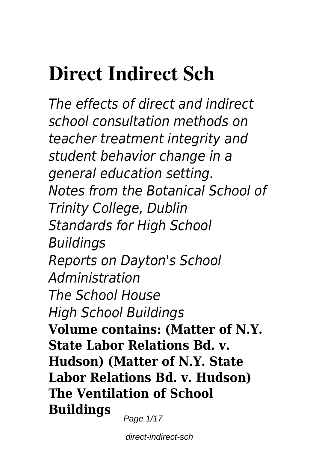### **Direct Indirect Sch**

*The effects of direct and indirect school consultation methods on teacher treatment integrity and student behavior change in a general education setting. Notes from the Botanical School of Trinity College, Dublin Standards for High School Buildings Reports on Dayton's School Administration The School House High School Buildings* **Volume contains: (Matter of N.Y. State Labor Relations Bd. v. Hudson) (Matter of N.Y. State Labor Relations Bd. v. Hudson) The Ventilation of School Buildings**

Page 1/17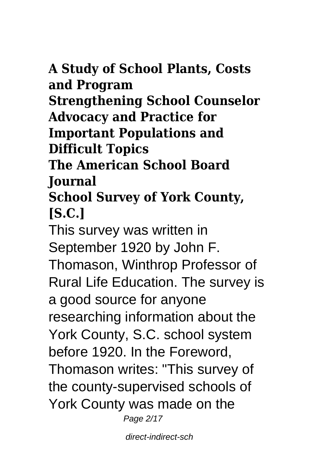**A Study of School Plants, Costs and Program Strengthening School Counselor Advocacy and Practice for Important Populations and Difficult Topics The American School Board Journal School Survey of York County, [S.C.]** This survey was written in September 1920 by John F. Thomason, Winthrop Professor of Rural Life Education. The survey is a good source for anyone researching information about the York County, S.C. school system before 1920. In the Foreword, Thomason writes: "This survey of the county-supervised schools of York County was made on the Page 2/17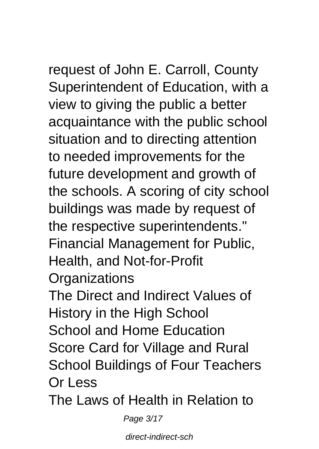request of John E. Carroll, County Superintendent of Education, with a view to giving the public a better acquaintance with the public school situation and to directing attention to needed improvements for the future development and growth of the schools. A scoring of city school buildings was made by request of the respective superintendents." Financial Management for Public, Health, and Not-for-Profit **Organizations** 

The Direct and Indirect Values of History in the High School School and Home Education Score Card for Village and Rural School Buildings of Four Teachers Or Less

The Laws of Health in Relation to

Page 3/17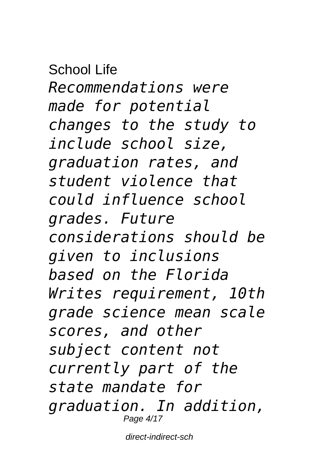School Life *Recommendations were made for potential changes to the study to include school size, graduation rates, and student violence that could influence school grades. Future considerations should be given to inclusions based on the Florida Writes requirement, 10th grade science mean scale scores, and other subject content not currently part of the state mandate for graduation. In addition,* Page 4/17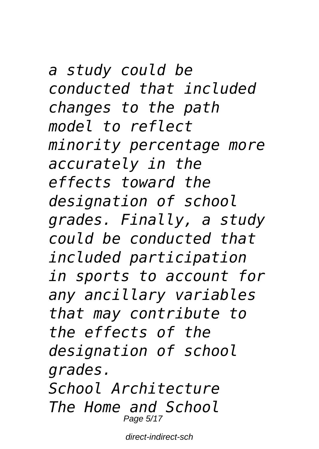*a study could be conducted that included changes to the path model to reflect minority percentage more accurately in the effects toward the designation of school grades. Finally, a study could be conducted that included participation in sports to account for any ancillary variables that may contribute to the effects of the designation of school grades. School Architecture The Home and School* Page 5/17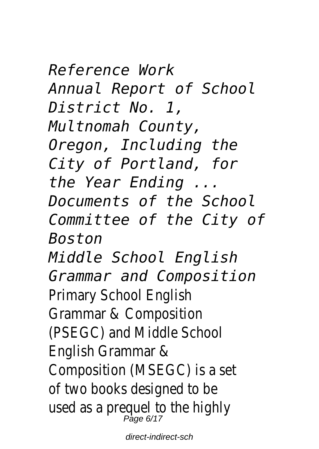*Reference Work Annual Report of School District No. 1, Multnomah County, Oregon, Including the City of Portland, for the Year Ending ... Documents of the School Committee of the City of Boston Middle School English Grammar and Composition* Primary School English Grammar & Composition (PSEGC) and Middle School English Grammar & Composition (MSEGC) is a set of two books designed to be used as a prequel to the highly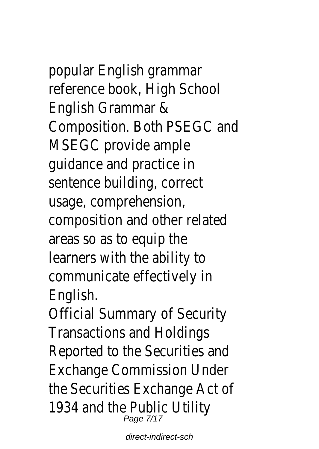### popular English grammar reference book, High School

English Grammar & Composition. Both PSEGC and MSEGC provide ample guidance and practice in sentence building, correct usage, comprehension, composition and other related areas so as to equip the learners with the ability to communicate effectively in English.

Official Summary of Security Transactions and Holdings Reported to the Securities and Exchange Commission Under the Securities Exchange Act of 1934 and the Public Utility Page 7/17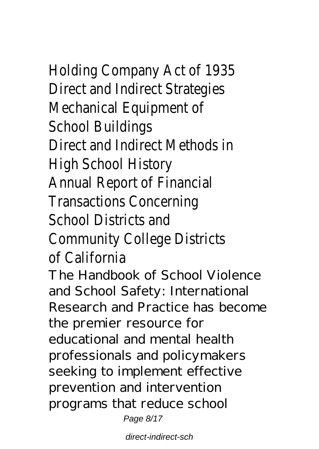# Holding Company Act of 1935

Direct and Indirect Strategies Mechanical Equipment of School Buildings Direct and Indirect Methods in High School History Annual Report of Financial Transactions Concerning School Districts and Community College Districts of California

The Handbook of School Violence and School Safety: International Research and Practice has become the premier resource for educational and mental health professionals and policymakers seeking to implement effective prevention and intervention programs that reduce school Page 8/17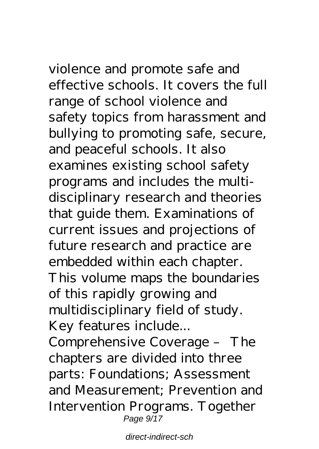violence and promote safe and effective schools. It covers the full range of school violence and safety topics from harassment and bullying to promoting safe, secure, and peaceful schools. It also

examines existing school safety programs and includes the multidisciplinary research and theories that guide them. Examinations of current issues and projections of future research and practice are embedded within each chapter. This volume maps the boundaries of this rapidly growing and multidisciplinary field of study. Key features include...

Comprehensive Coverage – The chapters are divided into three parts: Foundations; Assessment and Measurement; Prevention and Intervention Programs. Together Page  $9/17$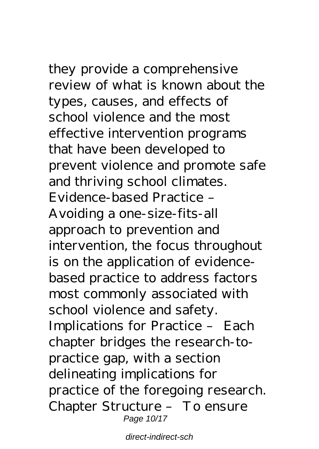they provide a comprehensive review of what is known about the types, causes, and effects of school violence and the most effective intervention programs that have been developed to prevent violence and promote safe and thriving school climates. Evidence-based Practice – Avoiding a one-size-fits-all approach to prevention and intervention, the focus throughout is on the application of evidencebased practice to address factors most commonly associated with school violence and safety. Implications for Practice – Each chapter bridges the research-topractice gap, with a section delineating implications for practice of the foregoing research. Chapter Structure – To ensure Page 10/17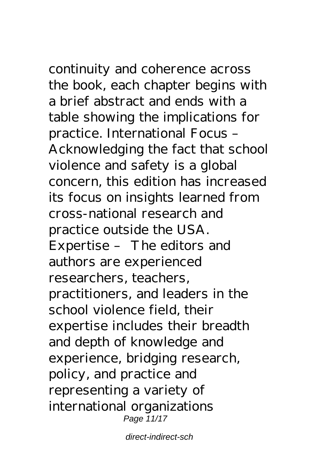continuity and coherence across the book, each chapter begins with a brief abstract and ends with a table showing the implications for practice. International Focus – Acknowledging the fact that school violence and safety is a global concern, this edition has increased its focus on insights learned from cross-national research and practice outside the USA. Expertise – The editors and authors are experienced researchers, teachers, practitioners, and leaders in the school violence field, their expertise includes their breadth and depth of knowledge and experience, bridging research, policy, and practice and representing a variety of international organizations Page 11/17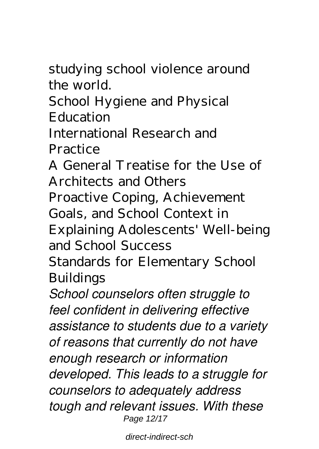studying school violence around the world.

School Hygiene and Physical Education

International Research and **Practice** 

A General Treatise for the Use of Architects and Others Proactive Coping, Achievement Goals, and School Context in Explaining Adolescents' Well-being and School Success

Standards for Elementary School Buildings

*School counselors often struggle to feel confident in delivering effective assistance to students due to a variety of reasons that currently do not have enough research or information developed. This leads to a struggle for counselors to adequately address tough and relevant issues. With these* Page 12/17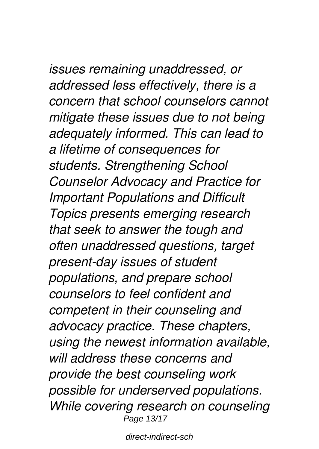## *issues remaining unaddressed, or*

*addressed less effectively, there is a concern that school counselors cannot mitigate these issues due to not being adequately informed. This can lead to a lifetime of consequences for students. Strengthening School Counselor Advocacy and Practice for Important Populations and Difficult Topics presents emerging research that seek to answer the tough and often unaddressed questions, target present-day issues of student populations, and prepare school counselors to feel confident and competent in their counseling and advocacy practice. These chapters, using the newest information available, will address these concerns and provide the best counseling work possible for underserved populations. While covering research on counseling* Page 13/17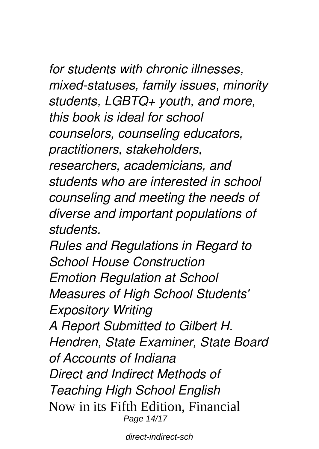*for students with chronic illnesses, mixed-statuses, family issues, minority students, LGBTQ+ youth, and more, this book is ideal for school counselors, counseling educators, practitioners, stakeholders, researchers, academicians, and students who are interested in school counseling and meeting the needs of diverse and important populations of students.*

*Rules and Regulations in Regard to School House Construction Emotion Regulation at School Measures of High School Students' Expository Writing A Report Submitted to Gilbert H. Hendren, State Examiner, State Board of Accounts of Indiana Direct and Indirect Methods of Teaching High School English* Now in its Fifth Edition, Financial Page 14/17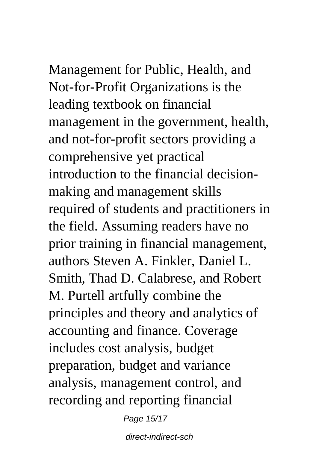Management for Public, Health, and Not-for-Profit Organizations is the leading textbook on financial management in the government, health, and not-for-profit sectors providing a comprehensive yet practical introduction to the financial decisionmaking and management skills required of students and practitioners in the field. Assuming readers have no prior training in financial management, authors Steven A. Finkler, Daniel L. Smith, Thad D. Calabrese, and Robert M. Purtell artfully combine the principles and theory and analytics of accounting and finance. Coverage includes cost analysis, budget preparation, budget and variance analysis, management control, and recording and reporting financial

Page 15/17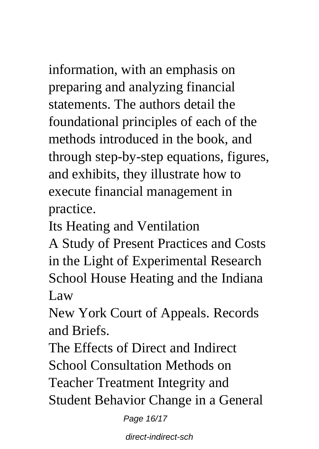information, with an emphasis on preparing and analyzing financial statements. The authors detail the foundational principles of each of the methods introduced in the book, and through step-by-step equations, figures, and exhibits, they illustrate how to execute financial management in practice.

Its Heating and Ventilation

A Study of Present Practices and Costs in the Light of Experimental Research School House Heating and the Indiana Law

New York Court of Appeals. Records and Briefs.

The Effects of Direct and Indirect School Consultation Methods on Teacher Treatment Integrity and Student Behavior Change in a General

Page 16/17